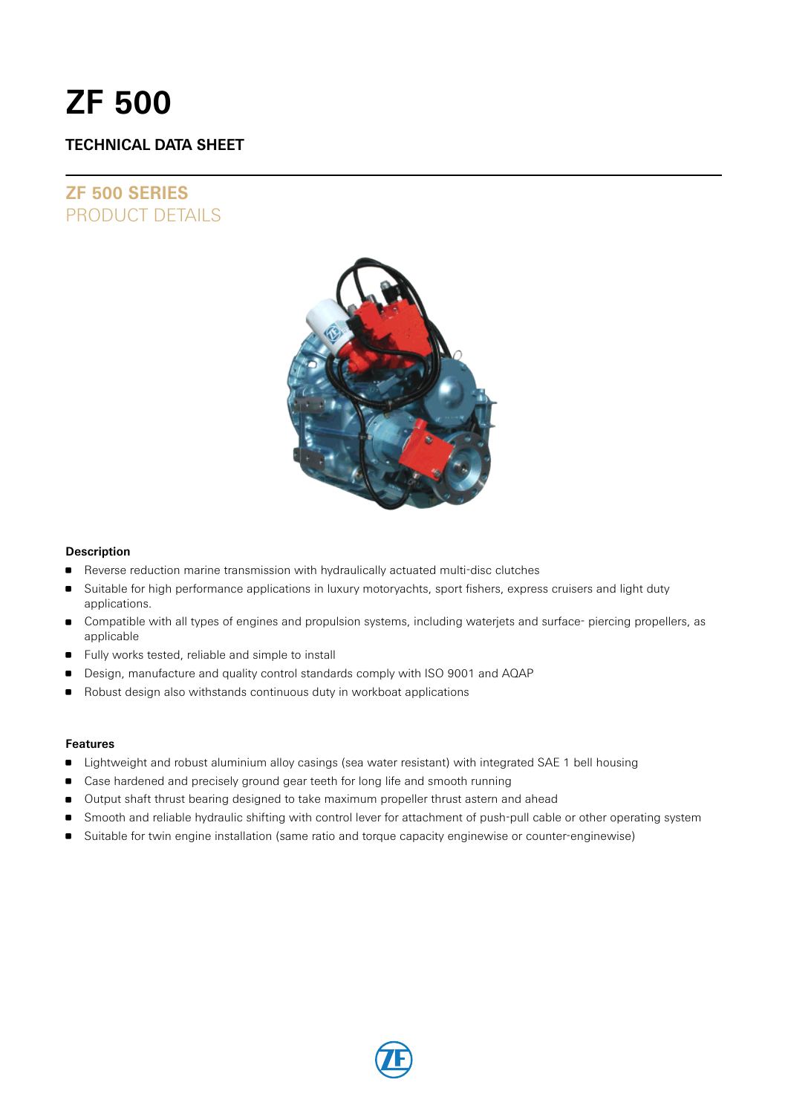# **ZF 500**

# **TECHNICAL DATA SHEET**

# **ZF 500 SERIES** PRODUCT DETAILS



### **Description**

- Reverse reduction marine transmission with hydraulically actuated multi-disc clutches
- Suitable for high performance applications in luxury motoryachts, sport fishers, express cruisers and light duty applications.
- Compatible with all types of engines and propulsion systems, including waterjets and surface- piercing propellers, as applicable
- Fully works tested, reliable and simple to install
- Design, manufacture and quality control standards comply with ISO 9001 and AQAP
- **B** Robust design also withstands continuous duty in workboat applications

### **Features**

- **Example 1** Lightweight and robust aluminium alloy casings (sea water resistant) with integrated SAE 1 bell housing
- **Case hardened and precisely ground gear teeth for long life and smooth running**
- Output shaft thrust bearing designed to take maximum propeller thrust astern and ahead
- Smooth and reliable hydraulic shifting with control lever for attachment of push-pull cable or other operating system
- Suitable for twin engine installation (same ratio and torque capacity enginewise or counter-enginewise)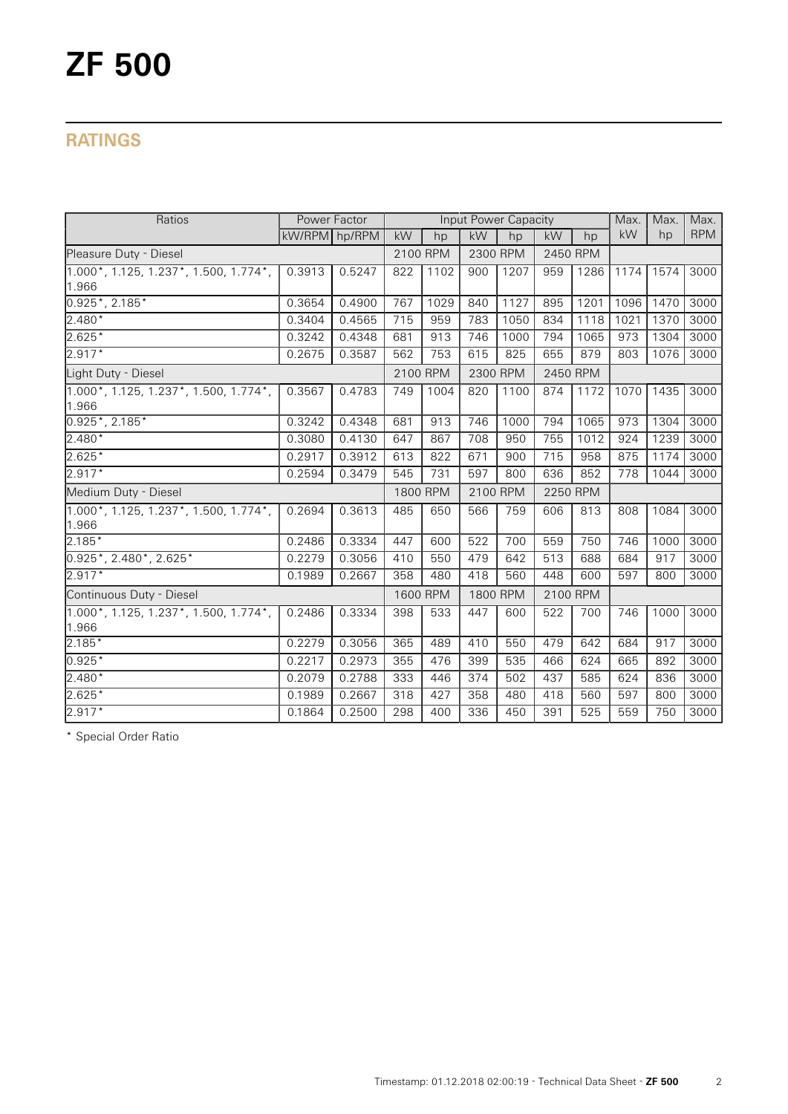# **RATINGS**

| Ratios<br>Power Factor                            |               |        |          | Input Power Capacity |          |      |           |      |      | Max. | Max.       |
|---------------------------------------------------|---------------|--------|----------|----------------------|----------|------|-----------|------|------|------|------------|
|                                                   | kW/RPM hp/RPM |        | kW       | hp                   | kW       | hp   | <b>kW</b> | hp   | kW   | hp   | <b>RPM</b> |
| Pleasure Duty - Diesel                            |               |        | 2100 RPM |                      | 2300 RPM |      | 2450 RPM  |      |      |      |            |
| $1.000$ *, 1.125, 1.237*, 1.500, 1.774*,<br>1.966 | 0.3913        | 0.5247 | 822      | 1102                 | 900      | 1207 | 959       | 1286 | 1174 | 1574 | 3000       |
| $0.925$ *, 2.185*                                 | 0.3654        | 0.4900 | 767      | 1029                 | 840      | 1127 | 895       | 1201 | 1096 | 1470 | 3000       |
| $2.480*$                                          | 0.3404        | 0.4565 | 715      | 959                  | 783      | 1050 | 834       | 1118 | 1021 | 1370 | 3000       |
| $2.625*$                                          | 0.3242        | 0.4348 | 681      | 913                  | 746      | 1000 | 794       | 1065 | 973  | 1304 | 3000       |
| $2.917*$                                          | 0.2675        | 0.3587 | 562      | 753                  | 615      | 825  | 655       | 879  | 803  | 1076 | 3000       |
| Light Duty - Diesel                               |               |        |          | 2100 RPM             | 2300 RPM |      | 2450 RPM  |      |      |      |            |
| 1.000*, 1.125, 1.237*, 1.500, 1.774*,<br>1.966    | 0.3567        | 0.4783 | 749      | 1004                 | 820      | 1100 | 874       | 1172 | 1070 | 1435 | 3000       |
| $0.925$ *, 2.185*                                 | 0.3242        | 0.4348 | 681      | 913                  | 746      | 1000 | 794       | 1065 | 973  | 1304 | 3000       |
| 2.480*                                            | 0.3080        | 0.4130 | 647      | 867                  | 708      | 950  | 755       | 1012 | 924  | 1239 | 3000       |
| $2.625*$                                          | 0.2917        | 0.3912 | 613      | 822                  | 671      | 900  | 715       | 958  | 875  | 1174 | 3000       |
| $2.917*$                                          | 0.2594        | 0.3479 | 545      | 731                  | 597      | 800  | 636       | 852  | 778  | 1044 | 3000       |
| Medium Duty - Diesel                              |               |        | 1800 RPM |                      | 2100 RPM |      | 2250 RPM  |      |      |      |            |
| $1.000$ *, 1.125, 1.237*, 1.500, 1.774*,<br>1.966 | 0.2694        | 0.3613 | 485      | 650                  | 566      | 759  | 606       | 813  | 808  | 1084 | 3000       |
| $2.185*$                                          | 0.2486        | 0.3334 | 447      | 600                  | 522      | 700  | 559       | 750  | 746  | 1000 | 3000       |
| $0.925$ *, 2.480*, 2.625*                         | 0.2279        | 0.3056 | 410      | 550                  | 479      | 642  | 513       | 688  | 684  | 917  | 3000       |
| 2.917*                                            | 0.1989        | 0.2667 | 358      | 480                  | 418      | 560  | 448       | 600  | 597  | 800  | 3000       |
| Continuous Duty - Diesel                          |               |        | 1600 RPM |                      | 1800 RPM |      | 2100 RPM  |      |      |      |            |
| 1.000*, 1.125, 1.237*, 1.500, 1.774*,<br>1.966    | 0.2486        | 0.3334 | 398      | 533                  | 447      | 600  | 522       | 700  | 746  | 1000 | 3000       |
| $2.185*$                                          | 0.2279        | 0.3056 | 365      | 489                  | 410      | 550  | 479       | 642  | 684  | 917  | 3000       |
| $0.925*$                                          | 0.2217        | 0.2973 | 355      | 476                  | 399      | 535  | 466       | 624  | 665  | 892  | 3000       |
| $2.480*$                                          | 0.2079        | 0.2788 | 333      | 446                  | 374      | 502  | 437       | 585  | 624  | 836  | 3000       |
| 2.625*                                            | 0.1989        | 0.2667 | 318      | 427                  | 358      | 480  | 418       | 560  | 597  | 800  | 3000       |
| $2.917*$                                          | 0.1864        | 0.2500 | 298      | 400                  | 336      | 450  | 391       | 525  | 559  | 750  | 3000       |

\* Special Order Ratio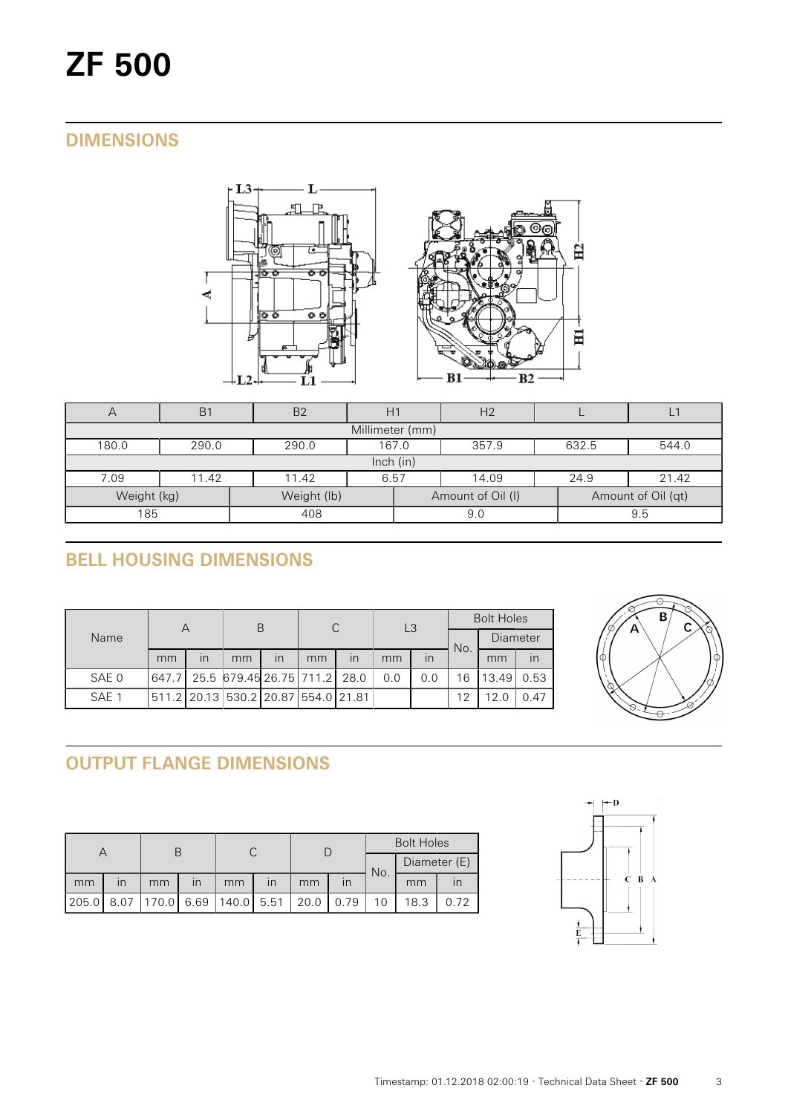# **DIMENSIONS**



| Η                          | B <sub>1</sub> | B <sub>2</sub>                            |      |     | H <sub>2</sub>    |      |                    |  |  |  |
|----------------------------|----------------|-------------------------------------------|------|-----|-------------------|------|--------------------|--|--|--|
| Millimeter (mm)            |                |                                           |      |     |                   |      |                    |  |  |  |
| 180.0                      | 290.0          | 357.9<br>632.5<br>290.0<br>167.0<br>544.0 |      |     |                   |      |                    |  |  |  |
| lnch (in)                  |                |                                           |      |     |                   |      |                    |  |  |  |
| 7.09                       | 11.42          | 11.42                                     | 6.57 |     | 14.09             | 24.9 | 21.42              |  |  |  |
| Weight (kg)<br>Weight (lb) |                |                                           |      |     | Amount of Oil (I) |      | Amount of Oil (qt) |  |  |  |
| 185<br>408                 |                |                                           |      | 9.0 |                   | 9.5  |                    |  |  |  |

# **BELL HOUSING DIMENSIONS**

| Name  | Α  |                         | В                                   |                         | C  |    | L <sub>3</sub> |     | <b>Bolt Holes</b> |          |      |
|-------|----|-------------------------|-------------------------------------|-------------------------|----|----|----------------|-----|-------------------|----------|------|
|       |    |                         |                                     |                         |    |    |                |     | No.               | Diameter |      |
|       | mm | $\overline{\mathsf{I}}$ | mm                                  | $\overline{\mathsf{I}}$ | mm | in | mm             | in  |                   | mm       | in   |
| SAE 0 |    |                         | 647.7 25.5 679.45 26.75 711.2 28.0  |                         |    |    | 0.0            | 0.0 | 16                | 13.49    | 0.53 |
| SAE 1 |    |                         | 511.2 20.13 530.2 20.87 554.0 21.81 |                         |    |    |                |     | 12                | 12.0     | 0.47 |



# **OUTPUT FLANGE DIMENSIONS**

|       |                         |                                    |                         |    |                         |      | <b>Bolt Holes</b> |              |      |      |
|-------|-------------------------|------------------------------------|-------------------------|----|-------------------------|------|-------------------|--------------|------|------|
|       |                         |                                    |                         |    |                         |      | No.               | Diameter (E) |      |      |
| mm    | $\mathsf{I} \mathsf{n}$ | mm                                 | $\overline{\mathsf{I}}$ | mm | $\overline{\mathsf{I}}$ | mm   |                   |              | mm   |      |
| 205.0 |                         | 8.07   170.0   6.69   140.0   5.51 |                         |    |                         | 20.0 | 0.79              |              | 18.3 | 0.72 |